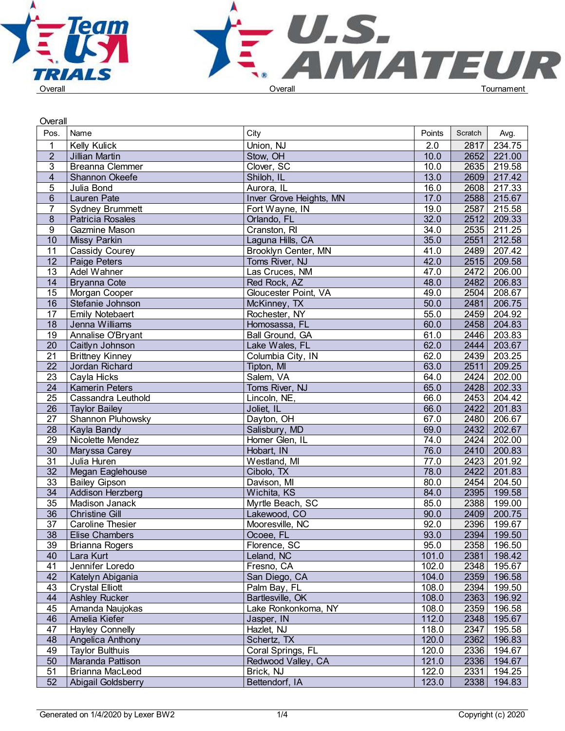



| Overall         |                         |                         |        |         |             |  |
|-----------------|-------------------------|-------------------------|--------|---------|-------------|--|
| Pos.            | Name                    | City                    | Points | Scratch | Avg.        |  |
| 1               | <b>Kelly Kulick</b>     | Union, NJ               | 2.0    | 2817    | 234.75      |  |
| $\overline{2}$  | Jillian Martin          | Stow, OH                | 10.0   | 2652    | 221.00      |  |
| 3               | <b>Breanna Clemmer</b>  | Clover, SC              | 10.0   | 2635    | 219.58      |  |
| $\overline{4}$  | Shannon Okeefe          | Shiloh, IL              | 13.0   | 2609    | 217.42      |  |
| 5               | Julia Bond              | Aurora, IL              | 16.0   | 2608    | 217.33      |  |
| $6\phantom{.}$  | <b>Lauren Pate</b>      | Inver Grove Heights, MN | 17.0   | 2588    | 215.67      |  |
| 7               | <b>Sydney Brummett</b>  | Fort Wayne, IN          | 19.0   | 2587    | 215.58      |  |
| 8               | Patricia Rosales        | Orlando, FL             | 32.0   | 2512    | 209.33      |  |
| 9               | Gazmine Mason           | Cranston, RI            | 34.0   | 2535    | 211.25      |  |
| 10              | Missy Parkin            | Laguna Hills, CA        | 35.0   | 2551    | 212.58      |  |
| 11              | Cassidy Courey          | Brooklyn Center, MN     | 41.0   | 2489    | 207.42      |  |
| 12              | Paige Peters            | Toms River, NJ          | 42.0   | 2515    | 209.58      |  |
| 13              | Adel Wahner             | Las Cruces, NM          | 47.0   | 2472    | 206.00      |  |
| 14              | <b>Bryanna Cote</b>     | Red Rock, AZ            | 48.0   | 2482    | 206.83      |  |
| $\overline{15}$ | Morgan Cooper           | Gloucester Point, VA    | 49.0   | 2504    | 208.67      |  |
| 16              | Stefanie Johnson        | McKinney, TX            | 50.0   | 2481    | 206.75      |  |
| 17              | <b>Emily Notebaert</b>  | Rochester, NY           | 55.0   | 2459    | 204.92      |  |
| $\overline{18}$ | Jenna Williams          | Homosassa, FL           | 60.0   | 2458    | 204.83      |  |
| 19              | Annalise O'Bryant       | Ball Ground, GA         | 61.0   | 2446    | 203.83      |  |
| $\overline{20}$ | Caitlyn Johnson         | Lake Wales, FL          | 62.0   | 2444    | 203.67      |  |
| 21              | <b>Brittney Kinney</b>  | Columbia City, IN       | 62.0   | 2439    | 203.25      |  |
| $\overline{22}$ | Jordan Richard          | Tipton, MI              | 63.0   | 2511    | 209.25      |  |
| $\overline{23}$ | Cayla Hicks             | Salem, VA               | 64.0   | 2424    | 202.00      |  |
| 24              | Kamerin Peters          | Toms River, NJ          | 65.0   | 2428    | 202.33      |  |
| $\overline{25}$ | Cassandra Leuthold      | Lincoln, NE,            | 66.0   | 2453    | 204.42      |  |
| 26              | Taylor Bailey           | Joliet, IL              | 66.0   | 2422    | 201.83      |  |
| $\overline{27}$ | Shannon Pluhowsky       | Dayton, OH              | 67.0   | 2480    | 206.67      |  |
| $\overline{28}$ | Kayla Bandy             | Salisbury, MD           | 69.0   | 2432    | 202.67      |  |
| $\overline{29}$ | Nicolette Mendez        | Homer Glen, IL          | 74.0   | 2424    | 202.00      |  |
| 30 <sup>°</sup> | Maryssa Carey           | Hobart, IN              | 76.0   | 2410    | 200.83      |  |
| 31              | Julia Huren             | Westland, MI            | 77.0   | 2423    | 201.92      |  |
| $\overline{32}$ | Megan Eaglehouse        | Cibolo, TX              | 78.0   | 2422    | 201.83      |  |
| $\overline{33}$ | <b>Bailey Gipson</b>    | Davison, MI             | 80.0   | 2454    | 204.50      |  |
| $\overline{34}$ | Addison Herzberg        | Wichita, KS             | 84.0   | 2395    | 199.58      |  |
| $\overline{35}$ | Madison Janack          | Myrtle Beach, SC        | 85.0   | 2388    | 199.00      |  |
| 36              | <b>Christine Gill</b>   | Lakewood, CO            | 90.0   | 2409    | 200.75      |  |
| 37              | <b>Caroline Thesier</b> | Mooresville, NC         | 92.0   | 2396    | 199.67      |  |
| 38              | <b>Elise Chambers</b>   | Ocoee, FL               | 93.0   |         | 2394 199.50 |  |
| 39              | <b>Brianna Rogers</b>   | Florence, SC            | 95.0   | 2358    | 196.50      |  |
| 40              | Lara Kurt               | Leland, NC              | 101.0  | 2381    | 198.42      |  |
| 41              | Jennifer Loredo         | Fresno, CA              | 102.0  | 2348    | 195.67      |  |
| 42              | Katelyn Abigania        | San Diego, CA           | 104.0  | 2359    | 196.58      |  |
| 43              | <b>Crystal Elliott</b>  | Palm Bay, FL            | 108.0  | 2394    | 199.50      |  |
| 44              | <b>Ashley Rucker</b>    | Bartlesville, OK        | 108.0  | 2363    | 196.92      |  |
| 45              | Amanda Naujokas         | Lake Ronkonkoma, NY     | 108.0  | 2359    | 196.58      |  |
| 46              | Amelia Kiefer           | Jasper, IN              | 112.0  | 2348    | 195.67      |  |
| 47              | <b>Hayley Connelly</b>  | Hazlet, NJ              | 118.0  | 2347    | 195.58      |  |
| 48              | Angelica Anthony        | Schertz, TX             | 120.0  | 2362    | 196.83      |  |
| 49              | <b>Taylor Bulthuis</b>  | Coral Springs, FL       | 120.0  | 2336    | 194.67      |  |
| 50              | Maranda Pattison        | Redwood Valley, CA      | 121.0  |         | 2336 194.67 |  |
| 51              | Brianna MacLeod         | Brick, NJ               | 122.0  | 2331    | 194.25      |  |
| 52              | Abigail Goldsberry      | Bettendorf, IA          | 123.0  |         | 2338 194.83 |  |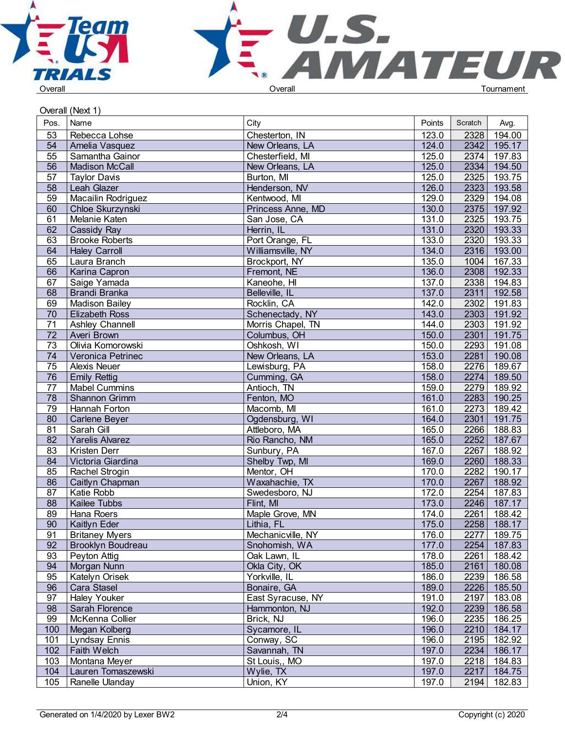



Overall (Next 1)

| Pos.            | Name                     | City              | Points | Scratch | Avg.        |  |
|-----------------|--------------------------|-------------------|--------|---------|-------------|--|
| 53              | Rebecca Lohse            | Chesterton, IN    | 123.0  | 2328    | 194.00      |  |
| $\overline{54}$ | Amelia Vasquez           | New Orleans, LA   | 124.0  | 2342    | 195.17      |  |
| $\overline{55}$ | Samantha Gainor          | Chesterfield, MI  | 125.0  | 2374    | 197.83      |  |
| $\overline{56}$ | Madison McCall           | New Orleans, LA   | 125.0  | 2334    | 194.50      |  |
| 57              | Taylor Davis             | Burton, MI        | 125.0  | 2325    | 193.75      |  |
| $\overline{58}$ | Leah Glazer              | Henderson, NV     | 126.0  | 2323    | 193.58      |  |
| $\overline{59}$ | Macailin Rodriguez       | Kentwood, MI      | 129.0  | 2329    | 194.08      |  |
| 60              | Chloe Skurzynski         | Princess Anne, MD | 130.0  | 2375    | 197.92      |  |
| 61              | Melanie Katen            | San Jose, CA      | 131.0  | 2325    | 193.75      |  |
| 62              | Cassidy Ray              | Herrin, IL        | 131.0  | 2320    | 193.33      |  |
|                 |                          |                   |        |         |             |  |
| 63              | <b>Brooke Roberts</b>    | Port Orange, FL   | 133.0  | 2320    | 193.33      |  |
| 64              | <b>Haley Carroll</b>     | Williamsville, NY | 134.0  | 2316    | 193.00      |  |
| 65              | Laura Branch             | Brockport, NY     | 135.0  | 1004    | 167.33      |  |
| 66              | Karina Capron            | Fremont, NE       | 136.0  | 2308    | 192.33      |  |
| 67              | Saige Yamada             | Kaneohe, HI       | 137.0  | 2338    | 194.83      |  |
| 68              | Brandi Branka            | Belleville, IL    | 137.0  | 2311    | 192.58      |  |
| 69              | Madison Bailey           | Rocklin, CA       | 142.0  | 2302    | 191.83      |  |
| 70              | <b>Elizabeth Ross</b>    | Schenectady, NY   | 143.0  | 2303    | 191.92      |  |
| 71              | Ashley Channell          | Morris Chapel, TN | 144.0  | 2303    | 191.92      |  |
| 72              | Averi Brown              | Columbus, OH      | 150.0  | 2301    | 191.75      |  |
| $\overline{73}$ | Olivia Komorowski        | Oshkosh, WI       | 150.0  | 2293    | 191.08      |  |
| $\overline{74}$ | Veronica Petrinec        | New Orleans, LA   | 153.0  | 2281    | 190.08      |  |
| $\overline{75}$ | <b>Alexis Neuer</b>      | Lewisburg, PA     | 158.0  | 2276    | 189.67      |  |
| 76              | <b>Emily Rettig</b>      | Cumming, GA       | 158.0  | 2274    | 189.50      |  |
| 77              | <b>Mabel Cummins</b>     | Antioch, TN       | 159.0  | 2279    | 189.92      |  |
| 78              | Shannon Grimm            | Fenton, MO        | 161.0  | 2283    | 190.25      |  |
| 79              | Hannah Forton            | Macomb, MI        | 161.0  | 2273    | 189.42      |  |
| 80              | Carlene Beyer            | Ogdensburg, WI    | 164.0  | 2301    | 191.75      |  |
| 81              | Sarah Gill               | Attleboro, MA     | 165.0  | 2266    | 188.83      |  |
| 82              | Yarelis Alvarez          | Rio Rancho, NM    | 165.0  | 2252    | 187.67      |  |
| 83              | Kristen Derr             | Sunbury, PA       | 167.0  | 2267    | 188.92      |  |
| 84              | Victoria Giardina        | Shelby Twp, MI    | 169.0  | 2260    | 188.33      |  |
| 85              | Rachel Strogin           | Mentor, OH        | 170.0  | 2282    | 190.17      |  |
| 86              | Caitlyn Chapman          | Waxahachie, TX    | 170.0  | 2267    | 188.92      |  |
| 87              | Katie Robb               | Swedesboro, NJ    | 172.0  | 2254    | 187.83      |  |
| 88              | Kailee Tubbs             | Flint, MI         | 173.0  | 2246    | 187.17      |  |
| 89              | Hana Roers               | Maple Grove, MN   | 174.0  | 2261    | 188.42      |  |
| 90              | Kaitlyn Eder             | Lithia, FL        | 175.0  |         | 2258 188.17 |  |
|                 |                          |                   |        |         |             |  |
| 91              | <b>Britaney Myers</b>    | Mechanicville, NY | 176.0  | 2277    | 189.75      |  |
| 92              | <b>Brooklyn Boudreau</b> | Snohomish, WA     | 177.0  | 2254    | 187.83      |  |
| 93              | Peyton Attig             | Oak Lawn, IL      | 178.0  | 2261    | 188.42      |  |
| 94              | Morgan Nunn              | Okla City, OK     | 185.0  | 2161    | 180.08      |  |
| 95              | Katelyn Orisek           | Yorkville, IL     | 186.0  | 2239    | 186.58      |  |
| 96              | Cara Stasel              | Bonaire, GA       | 189.0  | 2226    | 185.50      |  |
| 97              | <b>Haley Youker</b>      | East Syracuse, NY | 191.0  | 2197    | 183.08      |  |
| 98              | Sarah Florence           | Hammonton, NJ     | 192.0  | 2239    | 186.58      |  |
| 99              | McKenna Collier          | Brick, NJ         | 196.0  | 2235    | 186.25      |  |
| 100             | Megan Kolberg            | Sycamore, IL      | 196.0  | 2210    | 184.17      |  |
| 101             | Lyndsay Ennis            | Conway, SC        | 196.0  | 2195    | 182.92      |  |
| 102             | Faith Welch              | Savannah, TN      | 197.0  | 2234    | 186.17      |  |
| 103             | Montana Meyer            | St Louis,, MO     | 197.0  | 2218    | 184.83      |  |
| 104             | Lauren Tomaszewski       | Wylie, TX         | 197.0  | 2217    | 184.75      |  |
| 105             | Ranelle Ulanday          | Union, KY         | 197.0  | 2194    | 182.83      |  |
|                 |                          |                   |        |         |             |  |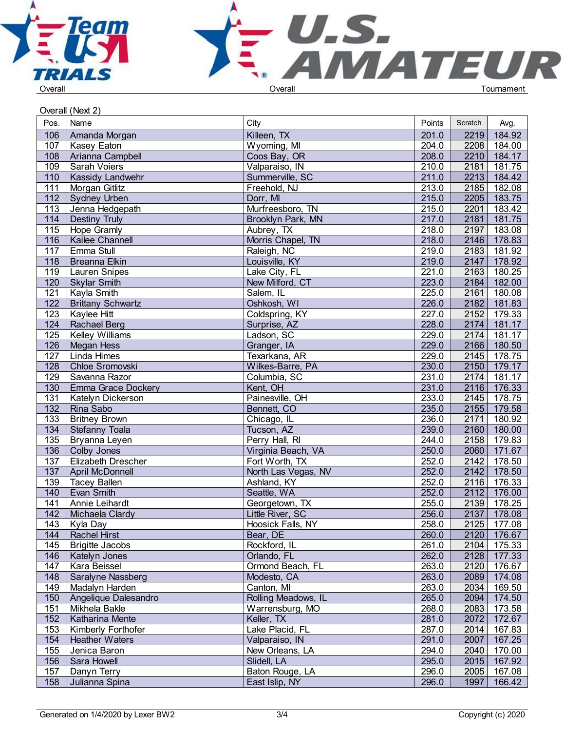



|                  | Overall (Next 2)          |                     |        |         |             |  |
|------------------|---------------------------|---------------------|--------|---------|-------------|--|
| Pos.             | Name                      | City                | Points | Scratch | Avg.        |  |
| 106              | Amanda Morgan             | Killeen, TX         | 201.0  | 2219    | 184.92      |  |
| 107              | Kasey Eaton               | Wyoming, MI         | 204.0  | 2208    | 184.00      |  |
| 108              | Arianna Campbell          | Coos Bay, OR        | 208.0  | 2210    | 184.17      |  |
| 109              | <b>Sarah Voiers</b>       | Valparaiso, IN      | 210.0  | 2181    | 181.75      |  |
| 110              | <b>Kassidy Landwehr</b>   | Summerville, SC     | 211.0  | 2213    | 184.42      |  |
| 111              | Morgan Gitlitz            | Freehold, NJ        | 213.0  | 2185    | 182.08      |  |
| 112              | Sydney Urben              | Dorr, MI            | 215.0  | 2205    | 183.75      |  |
| 113              | Jenna Hedgepath           | Murfreesboro, TN    | 215.0  | 2201    | 183.42      |  |
| $\overline{114}$ | <b>Destiny Truly</b>      | Brooklyn Park, MN   | 217.0  | 2181    | 181.75      |  |
| $\overline{115}$ | Hope Gramly               | Aubrey, TX          | 218.0  | 2197    | 183.08      |  |
| 116              | Kailee Channell           | Morris Chapel, TN   | 218.0  | 2146    | 178.83      |  |
| 117              | Emma Stull                | Raleigh, NC         | 219.0  | 2183    | 181.92      |  |
| 118              | <b>Breanna Elkin</b>      | Louisville, KY      | 219.0  | 2147    | 178.92      |  |
| 119              | <b>Lauren Snipes</b>      | Lake City, FL       | 221.0  | 2163    | 180.25      |  |
| 120              | <b>Skylar Smith</b>       | New Milford, CT     | 223.0  | 2184    | 182.00      |  |
| 121              | Kayla Smith               | Salem, IL           | 225.0  | 2161    | 180.08      |  |
| 122              | <b>Brittany Schwartz</b>  | Oshkosh, WI         | 226.0  | 2182    | 181.83      |  |
| 123              | Kaylee Hitt               | Coldspring, KY      | 227.0  |         | 2152 179.33 |  |
| 124              | Rachael Berg              | Surprise, AZ        | 228.0  |         | 2174 181.17 |  |
| 125              | <b>Kelley Williams</b>    | Ladson, SC          | 229.0  | 2174    | 181.17      |  |
| 126              | Megan Hess                | Granger, IA         | 229.0  |         | 2166 180.50 |  |
| 127              | Linda Himes               | Texarkana, AR       | 229.0  |         | 2145 178.75 |  |
| 128              | Chloe Sromovski           | Wilkes-Barre, PA    | 230.0  |         | 2150 179.17 |  |
| 129              | Savanna Razor             | Columbia, SC        | 231.0  | 2174    | 181.17      |  |
| 130              | <b>Emma Grace Dockery</b> | Kent, OH            | 231.0  | 2116    | 176.33      |  |
| 131              | Katelyn Dickerson         | Painesville, OH     | 233.0  | 2145    | 178.75      |  |
| 132              | Rina Sabo                 | Bennett, CO         | 235.0  | 2155    | 179.58      |  |
| $\overline{133}$ | <b>Britney Brown</b>      | Chicago, IL         | 236.0  | 2171    | 180.92      |  |
| $\overline{134}$ | Stefanny Toala            | Tucson, AZ          | 239.0  |         | 2160 180.00 |  |
| 135              | Bryanna Leyen             | Perry Hall, RI      | 244.0  | 2158    | 179.83      |  |
| 136              | Colby Jones               | Virginia Beach, VA  | 250.0  | 2060    | 171.67      |  |
| 137              | Elizabeth Drescher        | Fort Worth, TX      | 252.0  | 2142    | 178.50      |  |
| 137              | April McDonnell           | North Las Vegas, NV | 252.0  | 2142    | 178.50      |  |
| 139              | <b>Tacey Ballen</b>       | Ashland, KY         | 252.0  | 2116    | 176.33      |  |
| 140              | Evan Smith                | Seattle, WA         | 252.0  | 2112    | 176.00      |  |
| 141              | Annie Leihardt            | Georgetown, TX      | 255.0  | 2139    | 178.25      |  |
| 142              | Michaela Clardy           | Little River, SC    | 256.0  |         | 2137 178.08 |  |
| 143              | Kyla Day                  | Hoosick Falls, NY   | 258.0  |         | 2125 177.08 |  |
| 144              | <b>Rachel Hirst</b>       | Bear, DE            | 260.0  |         | 2120 176.67 |  |
| 145              | <b>Brigitte Jacobs</b>    | Rockford, IL        | 261.0  |         | 2104 175.33 |  |
| 146              | Katelyn Jones             | Orlando, FL         | 262.0  |         | 2128 177.33 |  |
| 147              | Kara Beissel              | Ormond Beach, FL    | 263.0  | 2120    | 176.67      |  |
| 148              | Saralyne Nassberg         | Modesto, CA         | 263.0  | 2089    | 174.08      |  |
| 149              | Madalyn Harden            | Canton, MI          | 263.0  | 2034    | 169.50      |  |
| 150              | Angelique Dalesandro      | Rolling Meadows, IL | 265.0  | 2094    | 174.50      |  |
| 151              | Mikhela Bakle             | Warrensburg, MO     | 268.0  | 2083    | 173.58      |  |
| 152              | Katharina Mente           | Keller, TX          | 281.0  | 2072    | 172.67      |  |
| 153              | Kimberly Forthofer        | Lake Placid, FL     | 287.0  | 2014    | 167.83      |  |
| 154              | <b>Heather Waters</b>     | Valparaiso, IN      | 291.0  | 2007    | 167.25      |  |
| 155              | Jenica Baron              | New Orleans, LA     | 294.0  | 2040    | 170.00      |  |
| 156              | Sara Howell               | Slidell, LA         | 295.0  | 2015    | 167.92      |  |
| 157              | Danyn Terry               | Baton Rouge, LA     | 296.0  | 2005    | 167.08      |  |
| 158              | Julianna Spina            | East Islip, NY      | 296.0  | 1997    | 166.42      |  |
|                  |                           |                     |        |         |             |  |